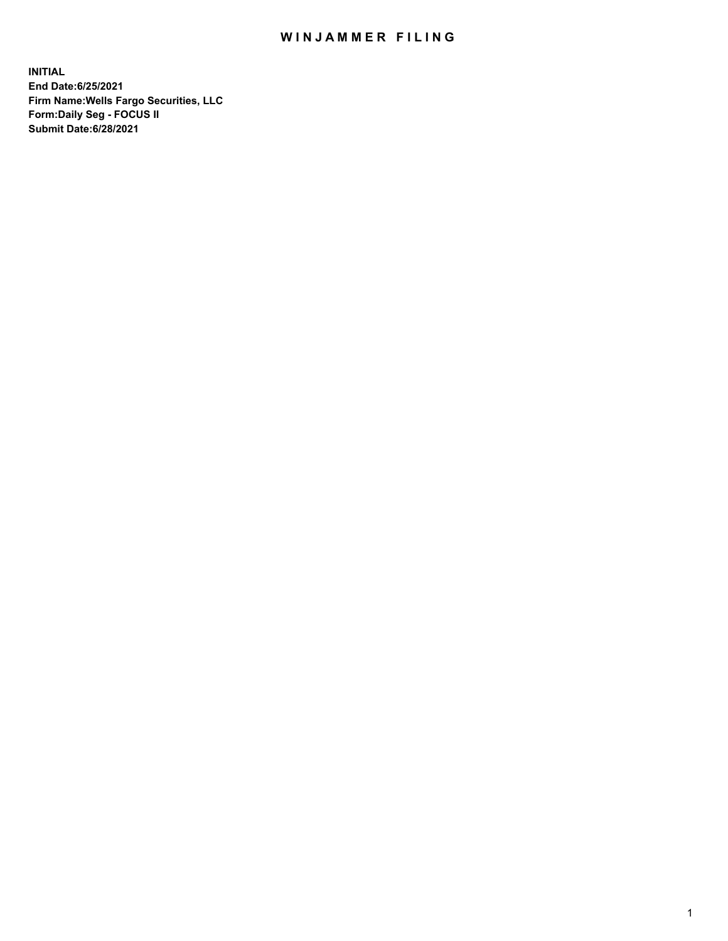## WIN JAMMER FILING

**INITIAL End Date:6/25/2021 Firm Name:Wells Fargo Securities, LLC Form:Daily Seg - FOCUS II Submit Date:6/28/2021**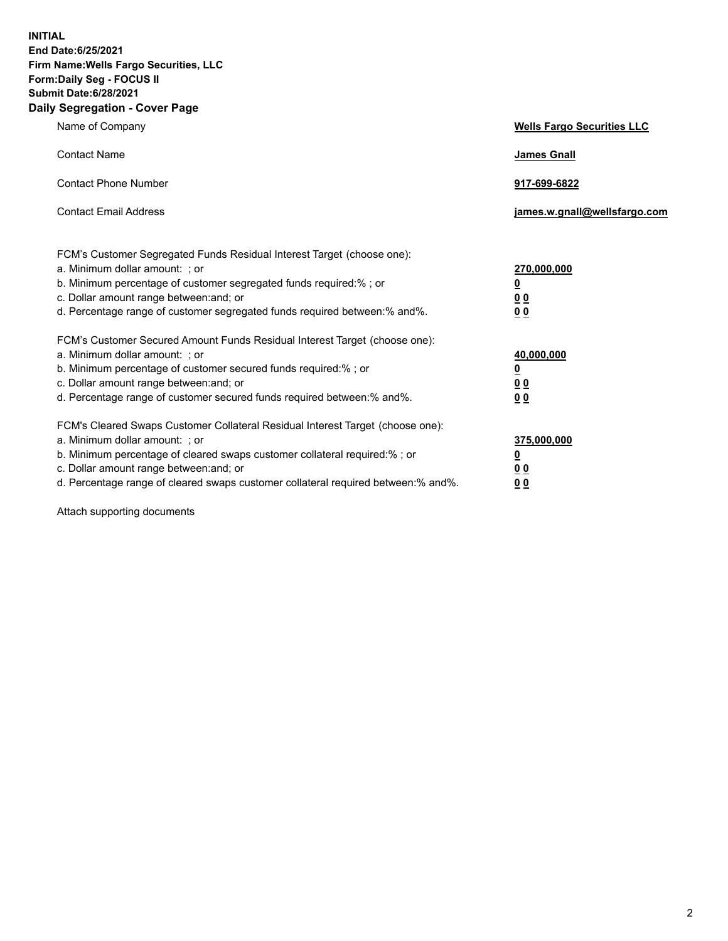**INITIAL End Date:6/25/2021 Firm Name:Wells Fargo Securities, LLC Form:Daily Seg - FOCUS II Submit Date:6/28/2021 Daily Segregation - Cover Page**

| Name of Company                                                                                                                                                                                                                                                                                                                | <b>Wells Fargo Securities LLC</b>                           |
|--------------------------------------------------------------------------------------------------------------------------------------------------------------------------------------------------------------------------------------------------------------------------------------------------------------------------------|-------------------------------------------------------------|
| <b>Contact Name</b>                                                                                                                                                                                                                                                                                                            | James Gnall                                                 |
| <b>Contact Phone Number</b>                                                                                                                                                                                                                                                                                                    | 917-699-6822                                                |
| <b>Contact Email Address</b>                                                                                                                                                                                                                                                                                                   | james.w.gnall@wellsfargo.com                                |
| FCM's Customer Segregated Funds Residual Interest Target (choose one):<br>a. Minimum dollar amount: ; or<br>b. Minimum percentage of customer segregated funds required:% ; or<br>c. Dollar amount range between: and; or<br>d. Percentage range of customer segregated funds required between: % and %.                       | 270,000,000<br><u>0</u><br>0 <sub>0</sub><br>0 <sub>0</sub> |
| FCM's Customer Secured Amount Funds Residual Interest Target (choose one):<br>a. Minimum dollar amount: ; or<br>b. Minimum percentage of customer secured funds required: % ; or<br>c. Dollar amount range between: and; or<br>d. Percentage range of customer secured funds required between:% and%.                          | 40,000,000<br><u>0</u><br>0 <sub>0</sub><br>0 <sub>0</sub>  |
| FCM's Cleared Swaps Customer Collateral Residual Interest Target (choose one):<br>a. Minimum dollar amount: ; or<br>b. Minimum percentage of cleared swaps customer collateral required:% ; or<br>c. Dollar amount range between: and; or<br>d. Percentage range of cleared swaps customer collateral required between:% and%. | 375,000,000<br><u>0</u><br>00<br>00                         |

Attach supporting documents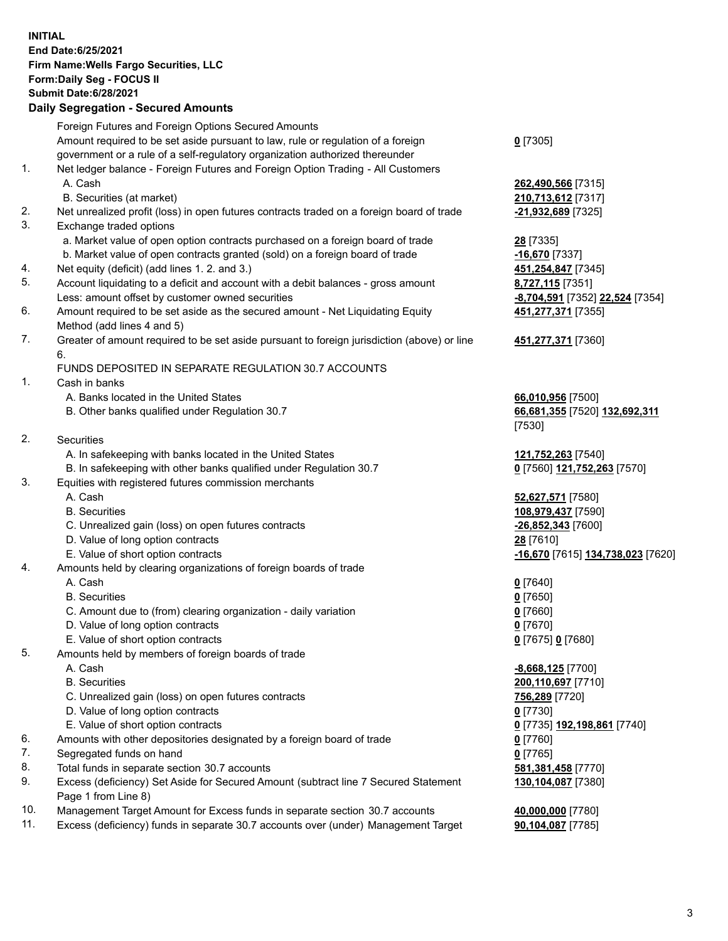**INITIAL End Date:6/25/2021 Firm Name:Wells Fargo Securities, LLC Form:Daily Seg - FOCUS II Submit Date:6/28/2021**

## **Daily Segregation - Secured Amounts**

|     | Foreign Futures and Foreign Options Secured Amounts                                                        |                                                       |
|-----|------------------------------------------------------------------------------------------------------------|-------------------------------------------------------|
|     | Amount required to be set aside pursuant to law, rule or regulation of a foreign                           | $0$ [7305]                                            |
|     | government or a rule of a self-regulatory organization authorized thereunder                               |                                                       |
| 1.  | Net ledger balance - Foreign Futures and Foreign Option Trading - All Customers                            |                                                       |
|     | A. Cash                                                                                                    | 262,490,566 [7315]                                    |
|     | B. Securities (at market)                                                                                  | 210,713,612 [7317]                                    |
| 2.  | Net unrealized profit (loss) in open futures contracts traded on a foreign board of trade                  | -21,932,689 [7325]                                    |
| 3.  | Exchange traded options                                                                                    |                                                       |
|     | a. Market value of open option contracts purchased on a foreign board of trade                             | 28 [7335]                                             |
|     | b. Market value of open contracts granted (sold) on a foreign board of trade                               | $-16,670$ [7337]                                      |
| 4.  | Net equity (deficit) (add lines 1. 2. and 3.)                                                              | 451,254,847 [7345]                                    |
| 5.  | Account liquidating to a deficit and account with a debit balances - gross amount                          | 8,727,115 [7351]                                      |
|     | Less: amount offset by customer owned securities                                                           | -8,704,591 [7352] 22,524 [7354]                       |
| 6.  | Amount required to be set aside as the secured amount - Net Liquidating Equity                             | 451,277,371 [7355]                                    |
|     | Method (add lines 4 and 5)                                                                                 |                                                       |
| 7.  | Greater of amount required to be set aside pursuant to foreign jurisdiction (above) or line                | 451,277,371 [7360]                                    |
|     | 6.                                                                                                         |                                                       |
|     | FUNDS DEPOSITED IN SEPARATE REGULATION 30.7 ACCOUNTS                                                       |                                                       |
| 1.  | Cash in banks                                                                                              |                                                       |
|     | A. Banks located in the United States                                                                      | 66,010,956 [7500]                                     |
|     | B. Other banks qualified under Regulation 30.7                                                             | 66,681,355 [7520] 132,692,311                         |
|     |                                                                                                            | [7530]                                                |
| 2.  | Securities                                                                                                 |                                                       |
|     | A. In safekeeping with banks located in the United States                                                  | 121,752,263 [7540]                                    |
|     | B. In safekeeping with other banks qualified under Regulation 30.7                                         | 0 [7560] 121,752,263 [7570]                           |
| 3.  | Equities with registered futures commission merchants                                                      |                                                       |
|     | A. Cash                                                                                                    | 52,627,571 [7580]                                     |
|     | <b>B.</b> Securities                                                                                       | 108,979,437 [7590]                                    |
|     | C. Unrealized gain (loss) on open futures contracts                                                        | $-26,852,343$ [7600]                                  |
|     | D. Value of long option contracts                                                                          | 28 [7610]                                             |
|     | E. Value of short option contracts                                                                         | <mark>-16,670</mark> [7615] <b>134,738,023</b> [7620] |
| 4.  | Amounts held by clearing organizations of foreign boards of trade                                          |                                                       |
|     | A. Cash                                                                                                    | $0$ [7640]                                            |
|     | <b>B.</b> Securities                                                                                       | $0$ [7650]                                            |
|     | C. Amount due to (from) clearing organization - daily variation                                            | $0$ [7660]                                            |
|     | D. Value of long option contracts                                                                          | $0$ [7670]                                            |
|     | E. Value of short option contracts                                                                         | 0 [7675] 0 [7680]                                     |
| 5.  | Amounts held by members of foreign boards of trade                                                         |                                                       |
|     | A. Cash                                                                                                    | -8,668,125 [7700]                                     |
|     | <b>B.</b> Securities                                                                                       | 200,110,697 [7710]                                    |
|     | C. Unrealized gain (loss) on open futures contracts                                                        | 756,289 [7720]                                        |
|     | D. Value of long option contracts                                                                          | $0$ [7730]                                            |
|     | E. Value of short option contracts                                                                         | 0 [7735] 192,198,861 [7740]                           |
| 6.  | Amounts with other depositories designated by a foreign board of trade                                     | $0$ [7760]                                            |
| 7.  | Segregated funds on hand                                                                                   | $0$ [7765]                                            |
| 8.  | Total funds in separate section 30.7 accounts                                                              | 581,381,458 [7770]                                    |
| 9.  | Excess (deficiency) Set Aside for Secured Amount (subtract line 7 Secured Statement<br>Page 1 from Line 8) | 130,104,087 [7380]                                    |
| 10. | Management Target Amount for Excess funds in separate section 30.7 accounts                                | 40,000,000 [7780]                                     |

- 
- 11. Excess (deficiency) funds in separate 30.7 accounts over (under) Management Target **90,104,087** [7785]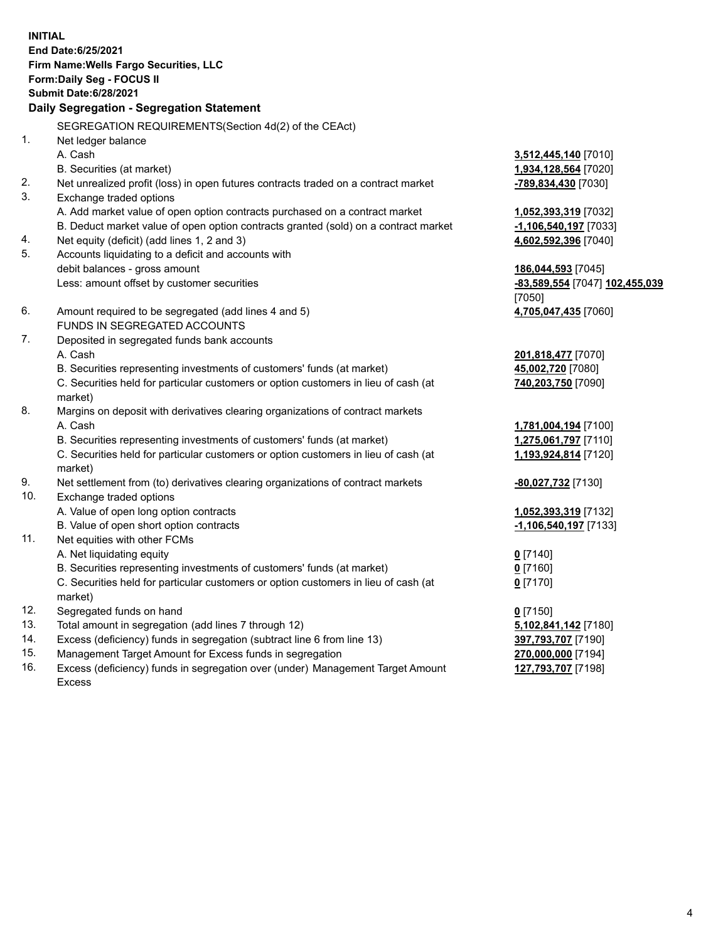**INITIAL End Date:6/25/2021 Firm Name:Wells Fargo Securities, LLC Form:Daily Seg - FOCUS II Submit Date:6/28/2021**

## **Daily Segregation - Segregation Statement**

SEGREGATION REQUIREMENTS(Section 4d(2) of the CEAct)

|     | OLONLOATION INLQUINLIVILIVI O(OCCIDII 40(Z) OF LIIC OLACI)                          |                                |
|-----|-------------------------------------------------------------------------------------|--------------------------------|
| 1.  | Net ledger balance                                                                  |                                |
|     | A. Cash                                                                             | 3,512,445,140 [7010]           |
|     | B. Securities (at market)                                                           | 1,934,128,564 [7020]           |
| 2.  | Net unrealized profit (loss) in open futures contracts traded on a contract market  | -789,834,430 [7030]            |
| 3.  | Exchange traded options                                                             |                                |
|     | A. Add market value of open option contracts purchased on a contract market         | 1,052,393,319 [7032]           |
|     | B. Deduct market value of open option contracts granted (sold) on a contract market | $-1,106,540,197$ [7033]        |
| 4.  | Net equity (deficit) (add lines 1, 2 and 3)                                         | 4,602,592,396 [7040]           |
| 5.  | Accounts liquidating to a deficit and accounts with                                 |                                |
|     | debit balances - gross amount                                                       | 186,044,593 [7045]             |
|     | Less: amount offset by customer securities                                          | -83,589,554 [7047] 102,455,039 |
|     |                                                                                     | [7050]                         |
| 6.  | Amount required to be segregated (add lines 4 and 5)                                | 4,705,047,435 [7060]           |
|     | FUNDS IN SEGREGATED ACCOUNTS                                                        |                                |
| 7.  | Deposited in segregated funds bank accounts                                         |                                |
|     | A. Cash                                                                             | 201,818,477 [7070]             |
|     | B. Securities representing investments of customers' funds (at market)              | 45,002,720 [7080]              |
|     | C. Securities held for particular customers or option customers in lieu of cash (at | 740,203,750 [7090]             |
|     | market)                                                                             |                                |
| 8.  | Margins on deposit with derivatives clearing organizations of contract markets      |                                |
|     | A. Cash                                                                             | 1,781,004,194 [7100]           |
|     | B. Securities representing investments of customers' funds (at market)              | 1,275,061,797 [7110]           |
|     | C. Securities held for particular customers or option customers in lieu of cash (at | 1,193,924,814 [7120]           |
|     | market)                                                                             |                                |
| 9.  | Net settlement from (to) derivatives clearing organizations of contract markets     | $-80,027,732$ [7130]           |
| 10. | Exchange traded options                                                             |                                |
|     | A. Value of open long option contracts                                              | 1,052,393,319 [7132]           |
|     | B. Value of open short option contracts                                             | -1,106,540,197 [7133]          |
| 11. | Net equities with other FCMs                                                        |                                |
|     | A. Net liquidating equity                                                           | $0$ [7140]                     |
|     | B. Securities representing investments of customers' funds (at market)              | $0$ [7160]                     |
|     | C. Securities held for particular customers or option customers in lieu of cash (at | $0$ [7170]                     |
|     | market)                                                                             |                                |
| 12. | Segregated funds on hand                                                            | $0$ [7150]                     |
| 13. | Total amount in segregation (add lines 7 through 12)                                | 5,102,841,142 [7180]           |
| 14. | Excess (deficiency) funds in segregation (subtract line 6 from line 13)             | 397,793,707 [7190]             |
| 15. | Management Target Amount for Excess funds in segregation                            | 270,000,000 [7194]             |
| 16. | Excess (deficiency) funds in segregation over (under) Management Target Amount      | 127,793,707 [7198]             |
|     | Excess                                                                              |                                |